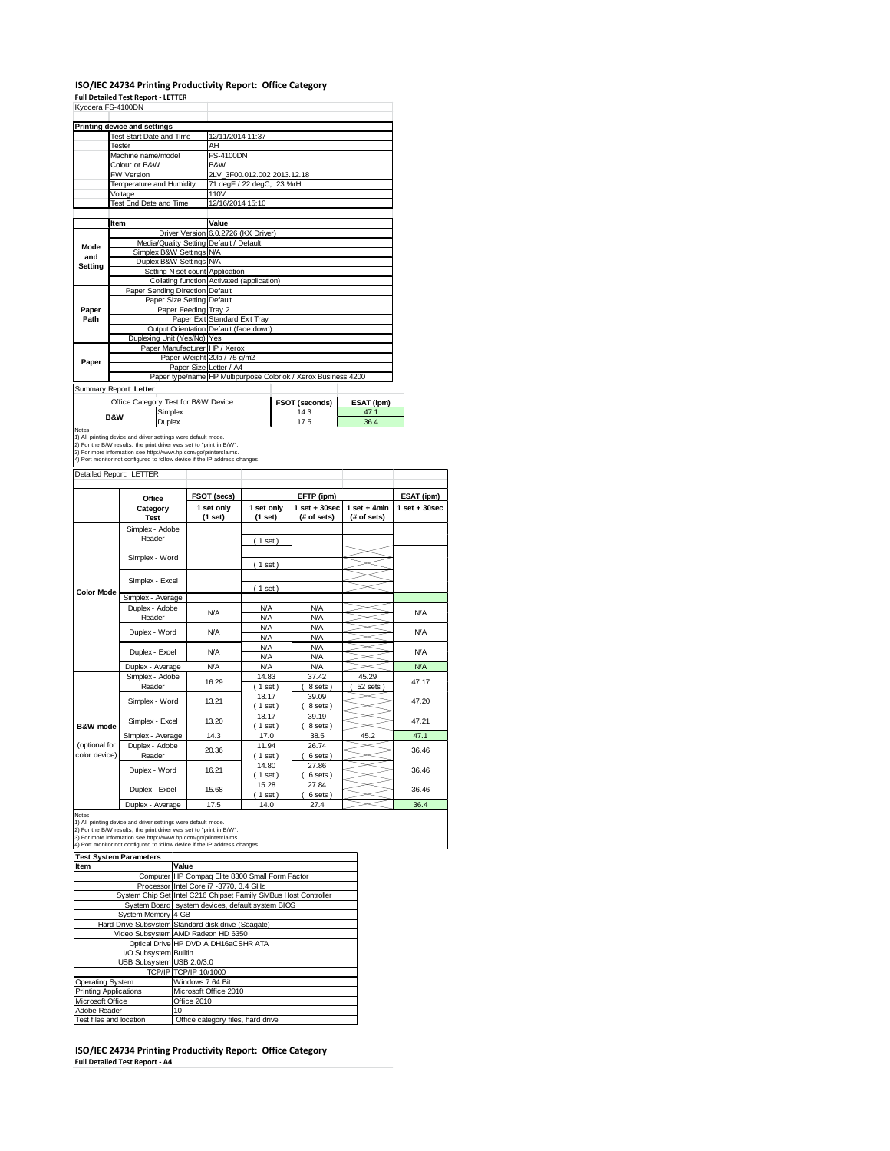#### **ISO/IEC 24734 Printing Productivity Report: Office Category**

**Full Detailed Test Report ‐ LETTER** Kyocera FS-4100DN

|               | Kyocera FS-4100DN                   |                                                                                                                                                                                                         |                                                                            |                                                                |            |  |  |  |
|---------------|-------------------------------------|---------------------------------------------------------------------------------------------------------------------------------------------------------------------------------------------------------|----------------------------------------------------------------------------|----------------------------------------------------------------|------------|--|--|--|
|               | <b>Printing device and settings</b> |                                                                                                                                                                                                         |                                                                            |                                                                |            |  |  |  |
|               | <b>Test Start Date and Time</b>     |                                                                                                                                                                                                         | 12/11/2014 11:37                                                           |                                                                |            |  |  |  |
|               | Tester                              |                                                                                                                                                                                                         | AH                                                                         |                                                                |            |  |  |  |
|               | Machine name/model                  |                                                                                                                                                                                                         | <b>FS-4100DN</b>                                                           |                                                                |            |  |  |  |
|               | Colour or B&W                       |                                                                                                                                                                                                         | B&W                                                                        |                                                                |            |  |  |  |
|               | <b>FW Version</b>                   |                                                                                                                                                                                                         | 2LV 3F00.012.002 2013.12.18                                                |                                                                |            |  |  |  |
|               | Temperature and Humidity            |                                                                                                                                                                                                         | 71 degF / 22 degC, 23 %rH                                                  |                                                                |            |  |  |  |
|               | Voltage                             |                                                                                                                                                                                                         | 110V                                                                       |                                                                |            |  |  |  |
|               | Test End Date and Time              |                                                                                                                                                                                                         | 12/16/2014 15:10                                                           |                                                                |            |  |  |  |
|               |                                     |                                                                                                                                                                                                         |                                                                            |                                                                |            |  |  |  |
|               | Item                                |                                                                                                                                                                                                         | Value                                                                      |                                                                |            |  |  |  |
|               |                                     |                                                                                                                                                                                                         | Driver Version 6.0.2726 (KX Driver)                                        |                                                                |            |  |  |  |
| Mode          |                                     |                                                                                                                                                                                                         | Media/Quality Setting Default / Default                                    |                                                                |            |  |  |  |
| and           |                                     | Simplex B&W Settings N/A                                                                                                                                                                                |                                                                            |                                                                |            |  |  |  |
| Setting       |                                     | Duplex B&W Settings N/A                                                                                                                                                                                 |                                                                            |                                                                |            |  |  |  |
|               |                                     | Setting N set count Application                                                                                                                                                                         |                                                                            |                                                                |            |  |  |  |
|               |                                     |                                                                                                                                                                                                         | Collating function Activated (application)                                 |                                                                |            |  |  |  |
|               |                                     | Paper Sending Direction Default                                                                                                                                                                         |                                                                            |                                                                |            |  |  |  |
|               |                                     | Paper Size Setting Default                                                                                                                                                                              |                                                                            |                                                                |            |  |  |  |
| Paper         |                                     | Paper Feeding Tray 2                                                                                                                                                                                    |                                                                            |                                                                |            |  |  |  |
| Path          |                                     |                                                                                                                                                                                                         | Paper Exit Standard Exit Tray                                              |                                                                |            |  |  |  |
|               |                                     |                                                                                                                                                                                                         | Output Orientation Default (face down)                                     |                                                                |            |  |  |  |
|               |                                     | Duplexing Unit (Yes/No) Yes                                                                                                                                                                             |                                                                            |                                                                |            |  |  |  |
|               |                                     | Paper Manufacturer HP / Xerox                                                                                                                                                                           |                                                                            |                                                                |            |  |  |  |
| Paper         |                                     |                                                                                                                                                                                                         | Paper Weight 20lb / 75 g/m2                                                |                                                                |            |  |  |  |
|               |                                     |                                                                                                                                                                                                         | Paper Size Letter / A4                                                     |                                                                |            |  |  |  |
|               |                                     |                                                                                                                                                                                                         |                                                                            | Paper type/name HP Multipurpose Colorlok / Xerox Business 4200 |            |  |  |  |
|               | Summary Report: Letter              |                                                                                                                                                                                                         |                                                                            |                                                                |            |  |  |  |
|               |                                     | Office Category Test for B&W Device                                                                                                                                                                     |                                                                            | FSOT (seconds)                                                 | ESAT (ipm) |  |  |  |
|               | <b>B&amp;W</b>                      | Simplex                                                                                                                                                                                                 |                                                                            | 14.3                                                           | 47.1       |  |  |  |
| <b>Duplex</b> |                                     |                                                                                                                                                                                                         | 17.5                                                                       | 36.4                                                           |            |  |  |  |
| Notes         |                                     | 1) All printing device and driver settings were default mode.<br>2) For the B/W results, the print driver was set to "print in B/W".<br>3) For more information see http://www.hp.com/go/printerclaims. | 4) Port monitor not configured to follow device if the IP address changes. |                                                                |            |  |  |  |
|               | Detailed Report: LETTER             |                                                                                                                                                                                                         |                                                                            |                                                                |            |  |  |  |

Detailed Report: LETTER

|                                | Office                    | FSOT (secs)             | EFTP (ipm)               |                                  |                                |                   |
|--------------------------------|---------------------------|-------------------------|--------------------------|----------------------------------|--------------------------------|-------------------|
|                                | Category<br><b>Test</b>   | 1 set only<br>$(1$ set) | 1 set only<br>(1 set)    | $1$ set $+30$ sec<br>(# of sets) | $1 set + 4 min$<br>(# of sets) | $1$ set $+30$ sec |
|                                | Simplex - Adobe<br>Reader |                         | (1 set)                  |                                  |                                |                   |
|                                | Simplex - Word            |                         | $1$ set)                 |                                  |                                |                   |
| <b>Color Mode</b>              | Simplex - Excel           |                         | (1 set)                  |                                  |                                |                   |
|                                | Simplex - Average         |                         |                          |                                  |                                |                   |
|                                | Duplex - Adobe<br>Reader  | <b>N/A</b>              | <b>N/A</b><br><b>N/A</b> | <b>N/A</b><br><b>N/A</b>         |                                | <b>N/A</b>        |
|                                | Duplex - Word             | <b>N/A</b>              | <b>N/A</b><br><b>N/A</b> | <b>N/A</b><br><b>N/A</b>         |                                | <b>N/A</b>        |
|                                | Duplex - Excel            | <b>N/A</b>              | <b>N/A</b><br><b>N/A</b> | <b>N/A</b><br><b>N/A</b>         |                                | <b>N/A</b>        |
|                                | Duplex - Average          | <b>N/A</b>              | <b>N/A</b>               | <b>N/A</b>                       |                                | <b>N/A</b>        |
|                                | Simplex - Adobe<br>Reader | 16.29                   | 14.83<br>$1$ set)        | 37.42<br>8 sets                  | 45.29<br>52 sets               | 47.17             |
|                                | Simplex - Word            | 13.21                   | 18.17<br>$1$ set)        | 39.09<br>8 sets)                 |                                | 47.20             |
| B&W mode                       | Simplex - Excel           | 13.20                   | 18.17<br>$1$ set)        | 39.19<br>8 sets)                 |                                | 47.21             |
|                                | Simplex - Average         | 14.3                    | 17.0                     | 38.5                             | 45.2                           | 47.1              |
| (optional for<br>color device) | Duplex - Adobe<br>Reader  | 20.36                   | 11.94<br>$1$ set)        | 26.74<br>6 sets)                 |                                | 36.46             |
|                                | Duplex - Word             | 16.21                   | 14.80<br>$1$ set)        | 27.86<br>6 sets)                 |                                | 36.46             |
|                                | Duplex - Excel            | 15.68                   | 15.28<br>$1$ set)        | 27.84<br>6 sets                  |                                | 36.46             |
|                                | Duplex - Average          | 17.5                    | 14.0                     | 27.4                             |                                | 36.4              |

| <b>Notes</b>                                                               |                                                                 |
|----------------------------------------------------------------------------|-----------------------------------------------------------------|
| 1) All printing device and driver settings were default mode.              |                                                                 |
| 2) For the B/W results, the print driver was set to "print in B/W".        |                                                                 |
| 3) For more information see http://www.hp.com/go/printerclaims.            |                                                                 |
| 4) Port monitor not configured to follow device if the IP address changes. |                                                                 |
| <b>Test System Parameters</b>                                              |                                                                 |
| Item                                                                       | Value                                                           |
|                                                                            | Computer HP Compaq Elite 8300 Small Form Factor                 |
|                                                                            | Processor Intel Core i7 -3770, 3.4 GHz                          |
|                                                                            | System Chip Set Intel C216 Chipset Family SMBus Host Controller |
|                                                                            | System Board system devices, default system BIOS                |
| System Memory 4 GB                                                         |                                                                 |
|                                                                            | Hard Drive Subsystem Standard disk drive (Seagate)              |
|                                                                            | Video Subsystem AMD Radeon HD 6350                              |
|                                                                            | Optical Drive HP DVD A DH16aCSHR ATA                            |
| I/O Subsystem Builtin                                                      |                                                                 |
| USB Subsystem USB 2.0/3.0                                                  |                                                                 |
|                                                                            | TCP/IP TCP/IP 10/1000                                           |
| <b>Operating System</b>                                                    | Windows 7 64 Bit                                                |
| <b>Printing Applications</b>                                               | Microsoft Office 2010                                           |
| Microsoft Office                                                           | Office 2010                                                     |
| Adobe Reader                                                               | 10                                                              |
| Test files and location                                                    | Office category files, hard drive                               |

**ISO/IEC 24734 Printing Productivity Report: Office Category Full Detailed Test Report ‐ A4**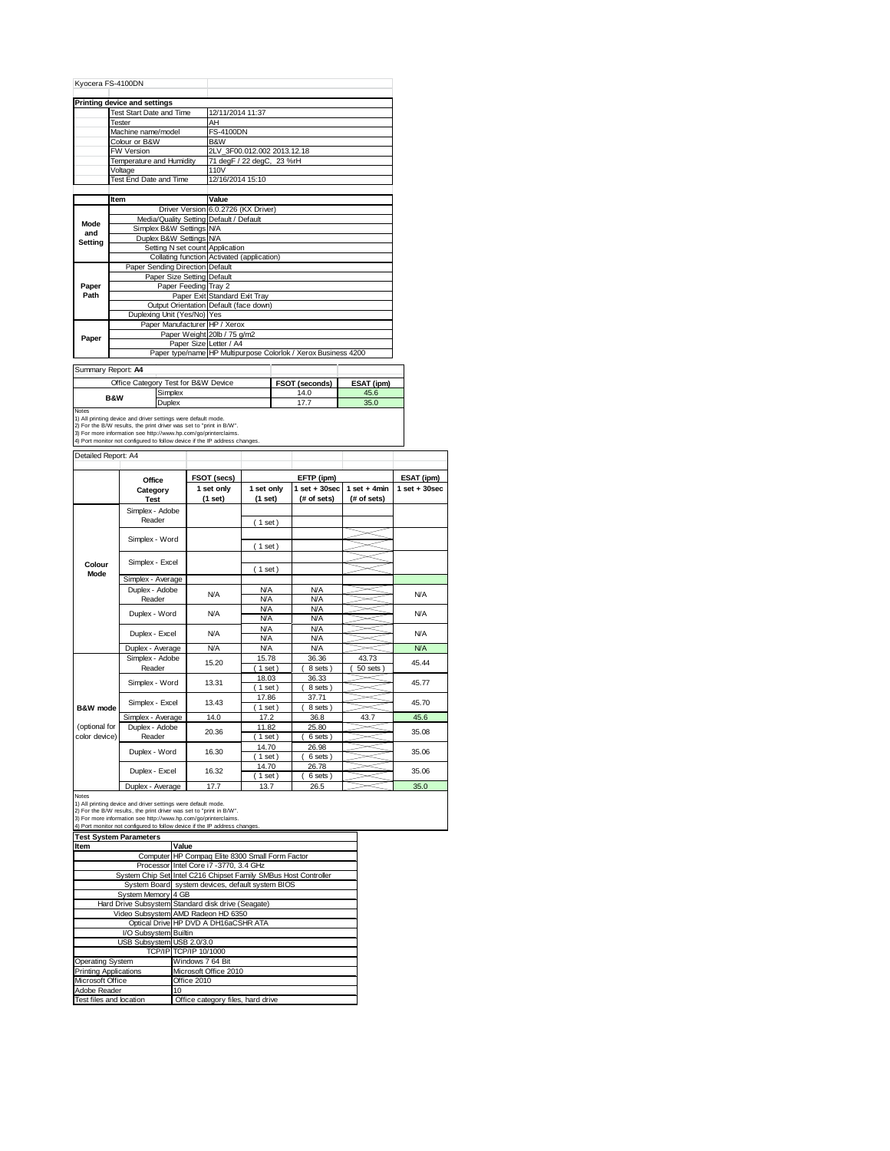|         | Kvocera FS-4100DN                   |                                         |                                                                |                |            |  |  |
|---------|-------------------------------------|-----------------------------------------|----------------------------------------------------------------|----------------|------------|--|--|
|         | <b>Printing device and settings</b> |                                         |                                                                |                |            |  |  |
|         | Test Start Date and Time            |                                         | 12/11/2014 11:37                                               |                |            |  |  |
|         | Tester                              |                                         | AH                                                             |                |            |  |  |
|         | Machine name/model                  |                                         | <b>FS-4100DN</b>                                               |                |            |  |  |
|         | Colour or B&W                       |                                         | B&W                                                            |                |            |  |  |
|         | <b>FW Version</b>                   |                                         | 2LV 3F00.012.002 2013.12.18                                    |                |            |  |  |
|         | Temperature and Humidity            |                                         | 71 degF / 22 degC, 23 %rH                                      |                |            |  |  |
|         | Voltage                             |                                         | 110V                                                           |                |            |  |  |
|         | Test End Date and Time              |                                         | 12/16/2014 15:10                                               |                |            |  |  |
|         |                                     |                                         |                                                                |                |            |  |  |
|         | Item                                |                                         | Value                                                          |                |            |  |  |
|         |                                     |                                         | Driver Version 6.0.2726 (KX Driver)                            |                |            |  |  |
| Mode    |                                     | Media/Quality Setting Default / Default |                                                                |                |            |  |  |
| and     |                                     | Simplex B&W Settings N/A                |                                                                |                |            |  |  |
| Setting |                                     | Duplex B&W Settings N/A                 |                                                                |                |            |  |  |
|         |                                     | Setting N set count Application         |                                                                |                |            |  |  |
|         |                                     |                                         | Collating function Activated (application)                     |                |            |  |  |
|         |                                     | Paper Sending Direction Default         |                                                                |                |            |  |  |
|         |                                     | Paper Size Setting Default              |                                                                |                |            |  |  |
| Paper   |                                     | Paper Feeding Tray 2                    |                                                                |                |            |  |  |
| Path    |                                     |                                         | Paper Exit Standard Exit Tray                                  |                |            |  |  |
|         |                                     |                                         | Output Orientation Default (face down)                         |                |            |  |  |
|         |                                     | Duplexing Unit (Yes/No) Yes             |                                                                |                |            |  |  |
|         |                                     | Paper Manufacturer HP / Xerox           |                                                                |                |            |  |  |
| Paper   |                                     |                                         | Paper Weight 20lb / 75 g/m2                                    |                |            |  |  |
|         |                                     | Paper Size Letter / A4                  | Paper type/name HP Multipurpose Colorlok / Xerox Business 4200 |                |            |  |  |
|         |                                     |                                         |                                                                |                |            |  |  |
|         | Summary Report: A4                  |                                         |                                                                |                |            |  |  |
|         |                                     | Office Category Test for B&W Device     |                                                                | FSOT (seconds) | ESAT (ipm) |  |  |
|         | <b>B&amp;W</b>                      | Simplex                                 |                                                                | 14.0           | 45.6       |  |  |
|         |                                     | Duplex                                  |                                                                | 17.7           | 35.0       |  |  |
| Notes   |                                     |                                         |                                                                |                |            |  |  |

Notes<br>1) All printing device and driver settings were default mode.<br>2) For the B/W results, the print driver was set to "print in B/W".<br>3) For more information see http://www.hp.com/go/printerclaims.<br>4) Port monitor not co

### Detailed Report: A4

|                                                                                                                                                                                                                                                                                                | Office                   | FSOT (secs) |                          | EFTP (ipm)               |                | ESAT (ipm)        |  |  |
|------------------------------------------------------------------------------------------------------------------------------------------------------------------------------------------------------------------------------------------------------------------------------------------------|--------------------------|-------------|--------------------------|--------------------------|----------------|-------------------|--|--|
|                                                                                                                                                                                                                                                                                                | Category                 | 1 set only  | 1 set only               | $1$ set $+30$ sec        | $1$ set + 4min | $1$ set $+30$ sec |  |  |
|                                                                                                                                                                                                                                                                                                | <b>Test</b>              | (1 set)     | (1 set)                  | (# of sets)              | (# of sets)    |                   |  |  |
|                                                                                                                                                                                                                                                                                                | Simplex - Adobe          |             |                          |                          |                |                   |  |  |
| Colour<br>Mode                                                                                                                                                                                                                                                                                 | Reader                   |             | (1 set)                  |                          |                |                   |  |  |
|                                                                                                                                                                                                                                                                                                |                          |             |                          |                          |                |                   |  |  |
|                                                                                                                                                                                                                                                                                                | Simplex - Word           |             | (1 set)                  |                          |                |                   |  |  |
|                                                                                                                                                                                                                                                                                                |                          |             |                          |                          |                |                   |  |  |
|                                                                                                                                                                                                                                                                                                | Simplex - Excel          |             |                          |                          |                |                   |  |  |
|                                                                                                                                                                                                                                                                                                |                          |             | (1 set)                  |                          |                |                   |  |  |
|                                                                                                                                                                                                                                                                                                | Simplex - Average        |             |                          |                          |                |                   |  |  |
|                                                                                                                                                                                                                                                                                                | Duplex - Adobe           | N/A         | <b>N/A</b>               | <b>N/A</b>               |                | <b>N/A</b>        |  |  |
|                                                                                                                                                                                                                                                                                                | Reader                   |             | <b>N/A</b>               | <b>N/A</b>               |                |                   |  |  |
|                                                                                                                                                                                                                                                                                                | Duplex - Word            | N/A         | <b>N/A</b><br><b>N/A</b> | <b>N/A</b><br><b>N/A</b> |                | <b>N/A</b>        |  |  |
|                                                                                                                                                                                                                                                                                                |                          |             |                          |                          |                |                   |  |  |
|                                                                                                                                                                                                                                                                                                | Duplex - Excel           | N/A         | <b>N/A</b>               | <b>N/A</b>               |                | <b>N/A</b>        |  |  |
|                                                                                                                                                                                                                                                                                                |                          |             | <b>N/A</b>               | <b>N/A</b>               |                |                   |  |  |
|                                                                                                                                                                                                                                                                                                | Duplex - Average         | <b>N/A</b>  | <b>N/A</b>               | <b>N/A</b>               |                | <b>N/A</b>        |  |  |
|                                                                                                                                                                                                                                                                                                | Simplex - Adobe          | 15.20       | 15.78                    | 36.36                    | 43.73          | 45.44             |  |  |
|                                                                                                                                                                                                                                                                                                | Reader                   |             | $1$ set)                 | 8 sets)                  | 50 sets        |                   |  |  |
|                                                                                                                                                                                                                                                                                                | Simplex - Word           | 13.31       | 18.03                    | 36.33                    |                | 45.77<br>45.70    |  |  |
|                                                                                                                                                                                                                                                                                                |                          |             | $1$ set)                 | 8 sets)                  |                |                   |  |  |
|                                                                                                                                                                                                                                                                                                | Simplex - Excel          | 13.43       | 17.86                    | 37.71                    |                |                   |  |  |
| B&W mode                                                                                                                                                                                                                                                                                       |                          |             | $1$ set)<br>17.2         | 8 sets)                  |                |                   |  |  |
|                                                                                                                                                                                                                                                                                                | Simplex - Average        | 14.0        |                          | 36.8                     | 43.7           | 45.6              |  |  |
| (optional for<br>color device)                                                                                                                                                                                                                                                                 | Duplex - Adobe<br>Reader | 20.36       | 11.82                    | 25.80                    |                | 35.08             |  |  |
|                                                                                                                                                                                                                                                                                                |                          |             | $1$ set)                 | 6 sets)                  |                |                   |  |  |
|                                                                                                                                                                                                                                                                                                | Duplex - Word            | 16.30       | 14.70                    | 26.98                    |                | 35.06             |  |  |
|                                                                                                                                                                                                                                                                                                |                          |             | $1$ set)                 | 6 sets)                  |                |                   |  |  |
|                                                                                                                                                                                                                                                                                                | Duplex - Excel           | 16.32       | 14.70                    | 26.78                    |                | 35.06             |  |  |
|                                                                                                                                                                                                                                                                                                |                          | 17.7        | $1$ set                  | 6 sets                   |                |                   |  |  |
|                                                                                                                                                                                                                                                                                                | Duplex - Average         |             | 13.7                     | 26.5                     |                | 35.0              |  |  |
| Notes<br>1) All printing device and driver settings were default mode.<br>2) For the B/W results, the print driver was set to "print in B/W".<br>3) For more information see http://www.hp.com/go/printerclaims.<br>4) Port monitor not configured to follow device if the IP address changes. |                          |             |                          |                          |                |                   |  |  |
| <b>Test System Parameters</b>                                                                                                                                                                                                                                                                  |                          |             |                          |                          |                |                   |  |  |

| Item                         | Value                                                           |
|------------------------------|-----------------------------------------------------------------|
|                              | Computer HP Compaq Elite 8300 Small Form Factor                 |
|                              | Processor Intel Core i7 -3770, 3.4 GHz                          |
|                              | System Chip Set Intel C216 Chipset Family SMBus Host Controller |
|                              | System Board system devices, default system BIOS                |
| System Memory 4 GB           |                                                                 |
|                              | Hard Drive Subsystem Standard disk drive (Seagate)              |
|                              | Video Subsystem AMD Radeon HD 6350                              |
|                              | Optical Drive HP DVD A DH16aCSHR ATA                            |
| I/O Subsystem Builtin        |                                                                 |
| USB Subsystem USB 2.0/3.0    |                                                                 |
|                              | TCP/IP TCP/IP 10/1000                                           |
| Operating System             | Windows 7 64 Bit                                                |
| <b>Printing Applications</b> | Microsoft Office 2010                                           |
| Microsoft Office             | Office 2010                                                     |
| Adobe Reader                 | 10 <sup>1</sup>                                                 |
| Test files and location      | Office category files, hard drive                               |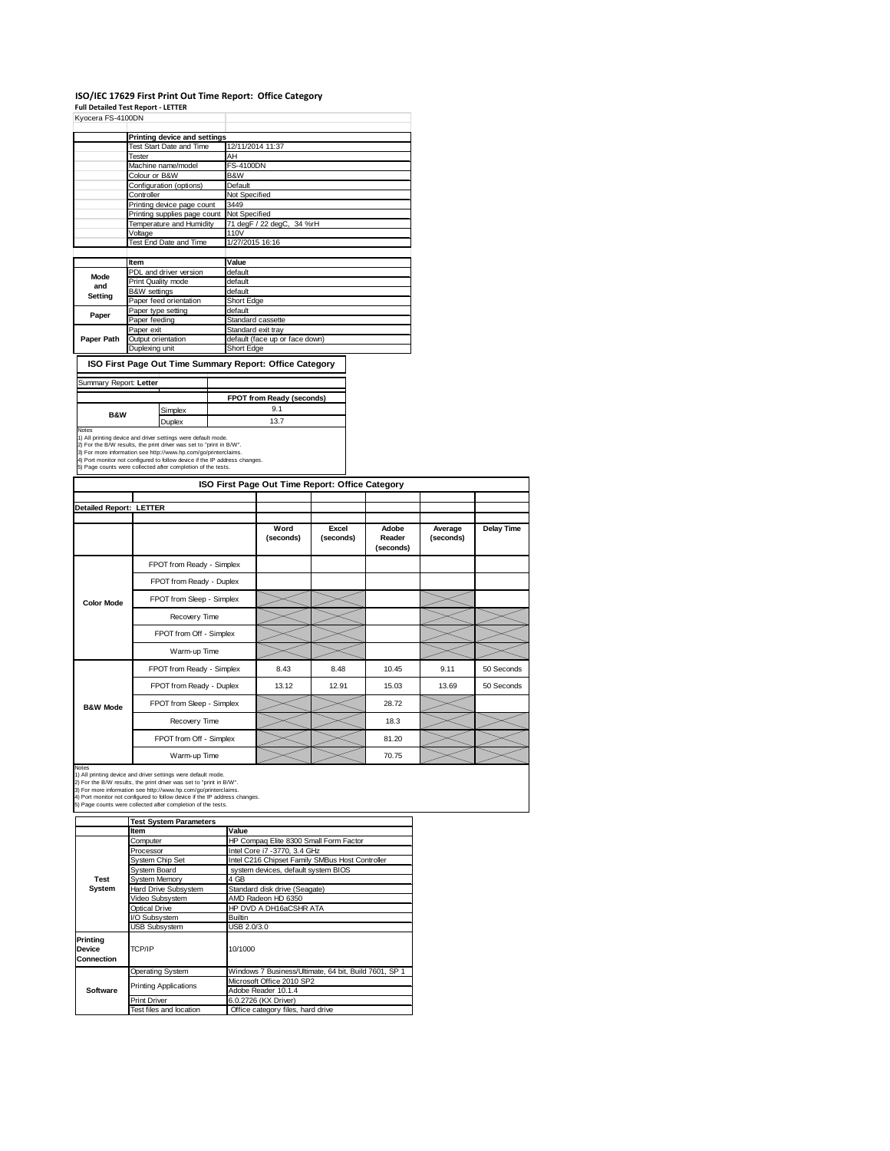# **ISO/IEC 17629 First Print Out Time Report: Office Category Full Detailed Test Report ‐ LETTER**

| Kyocera FS-4100DN |                              |                                |  |  |
|-------------------|------------------------------|--------------------------------|--|--|
|                   | Printing device and settings |                                |  |  |
|                   | Test Start Date and Time     | 12/11/2014 11:37               |  |  |
|                   | Tester                       | AH                             |  |  |
|                   | Machine name/model           | <b>FS-4100DN</b>               |  |  |
|                   | Colour or B&W                | B&W                            |  |  |
|                   | Configuration (options)      | Default                        |  |  |
|                   | Controller                   | Not Specified                  |  |  |
|                   | Printing device page count   | 3449                           |  |  |
|                   | Printing supplies page count | Not Specified                  |  |  |
|                   | Temperature and Humidity     | 71 degF / 22 degC, 34 %rH      |  |  |
|                   | Voltage                      | 110V                           |  |  |
|                   | Test End Date and Time       | 1/27/2015 16:16                |  |  |
|                   |                              |                                |  |  |
|                   | Item                         | Value                          |  |  |
| Mode              | PDL and driver version       | default                        |  |  |
| and               | Print Quality mode           | default                        |  |  |
| Setting           | <b>B&amp;W</b> settings      | default                        |  |  |
|                   | Paper feed orientation       | <b>Short Edge</b>              |  |  |
| Paper             | Paper type setting           | default                        |  |  |
|                   | Paper feeding                | Standard cassette              |  |  |
|                   | Paper exit                   | Standard exit tray             |  |  |
| Paper Path        | Output orientation           | default (face up or face down) |  |  |
|                   | Duplexing unit               | Short Edge                     |  |  |

#### **ISO First Page Out Time Summary Report: Office Category**

| --                     |         |                           | -<br>- |
|------------------------|---------|---------------------------|--------|
| Summary Report: Letter |         |                           |        |
|                        |         | FPOT from Ready (seconds) |        |
| <b>B&amp;W</b>         | Simplex | 9.1                       |        |
|                        | Duplex  | 13.7                      |        |
| Notes                  |         |                           |        |

Notes<br>1) All printing device and driver settings were default mode.<br>2) For the BAV results, the print driver was set to "print in BAW".<br>3) For more information see http://www.hp.com/go/printerclaims.<br>4) Port monitor not co

| ISO First Page Out Time Report: Office Category |                           |                   |                    |                              |                      |                   |  |  |
|-------------------------------------------------|---------------------------|-------------------|--------------------|------------------------------|----------------------|-------------------|--|--|
|                                                 |                           |                   |                    |                              |                      |                   |  |  |
| <b>Detailed Report: LETTER</b>                  |                           |                   |                    |                              |                      |                   |  |  |
|                                                 |                           | Word<br>(seconds) | Excel<br>(seconds) | Adobe<br>Reader<br>(seconds) | Average<br>(seconds) | <b>Delay Time</b> |  |  |
|                                                 | FPOT from Ready - Simplex |                   |                    |                              |                      |                   |  |  |
|                                                 | FPOT from Ready - Duplex  |                   |                    |                              |                      |                   |  |  |
| <b>Color Mode</b>                               | FPOT from Sleep - Simplex |                   |                    |                              |                      |                   |  |  |
|                                                 | Recovery Time             |                   |                    |                              |                      |                   |  |  |
|                                                 | FPOT from Off - Simplex   |                   |                    |                              |                      |                   |  |  |
|                                                 | Warm-up Time              |                   |                    |                              |                      |                   |  |  |
|                                                 | FPOT from Ready - Simplex | 8.43              | 8.48               | 10.45                        | 9.11                 | 50 Seconds        |  |  |
|                                                 | FPOT from Ready - Duplex  | 13.12             | 12.91              | 15.03                        | 13.69                | 50 Seconds        |  |  |
| <b>B&amp;W Mode</b>                             | FPOT from Sleep - Simplex |                   |                    | 28.72                        |                      |                   |  |  |
|                                                 | Recovery Time             |                   |                    | 18.3                         |                      |                   |  |  |
|                                                 | FPOT from Off - Simplex   |                   |                    | 81.20                        |                      |                   |  |  |
|                                                 | Warm-up Time              |                   |                    | 70.75                        |                      |                   |  |  |

Notes<br>1) All printing device and driver settings were default mode.<br>2) For the B/W results, the print driver was set to "print in B/W".<br>3) For more information see http://www.hp.com/go/printerclaims.<br>4) Port monitor not co

|                                  | <b>Test System Parameters</b> |                                                       |  |  |  |
|----------------------------------|-------------------------------|-------------------------------------------------------|--|--|--|
|                                  | Item                          | Value                                                 |  |  |  |
|                                  | Computer                      | HP Compaq Elite 8300 Small Form Factor                |  |  |  |
|                                  | Processor                     | Intel Core i7 -3770, 3.4 GHz                          |  |  |  |
|                                  | System Chip Set               | Intel C216 Chipset Family SMBus Host Controller       |  |  |  |
|                                  | <b>System Board</b>           | system devices, default system BIOS                   |  |  |  |
| Test                             | <b>System Memory</b>          | 4 GB                                                  |  |  |  |
| System                           | Hard Drive Subsystem          | Standard disk drive (Seagate)                         |  |  |  |
|                                  | Video Subsystem               | AMD Radeon HD 6350                                    |  |  |  |
|                                  | Optical Drive                 | HP DVD A DH16aCSHR ATA                                |  |  |  |
|                                  | I/O Subsystem                 | <b>Builtin</b>                                        |  |  |  |
|                                  | <b>USB Subsystem</b>          | USB 2.0/3.0                                           |  |  |  |
| Printina<br>Device<br>Connection | TCP/IP                        | 10/1000                                               |  |  |  |
|                                  | <b>Operating System</b>       | Windows 7 Business/Ultimate, 64 bit, Build 7601, SP 1 |  |  |  |
|                                  |                               | Microsoft Office 2010 SP2                             |  |  |  |
| Software                         | <b>Printing Applications</b>  | Adobe Reader 10.1.4                                   |  |  |  |
|                                  | <b>Print Driver</b>           | 6.0.2726 (KX Driver)                                  |  |  |  |
|                                  | Test files and location       | Office category files, hard drive                     |  |  |  |